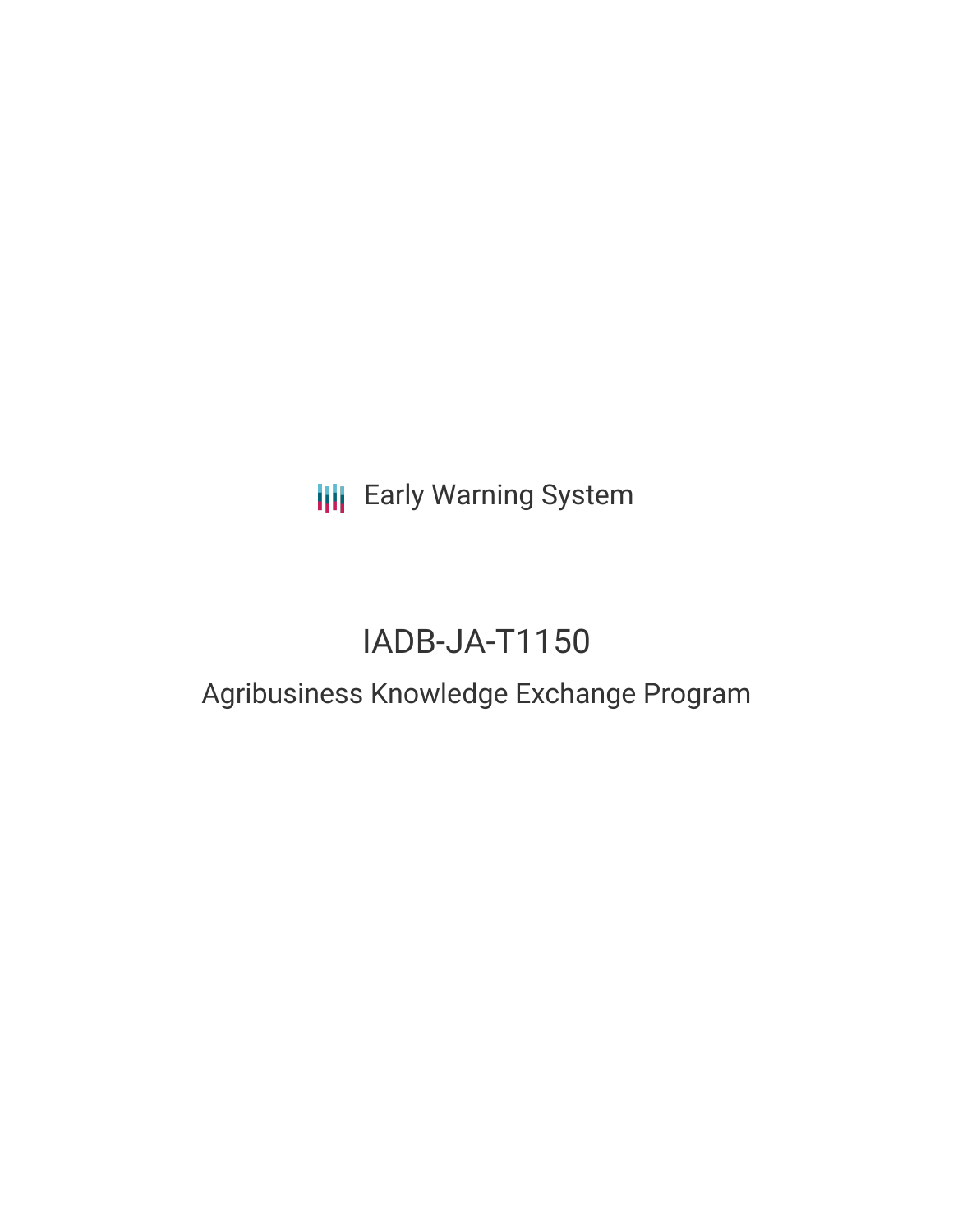# **III** Early Warning System

# IADB-JA-T1150

## Agribusiness Knowledge Exchange Program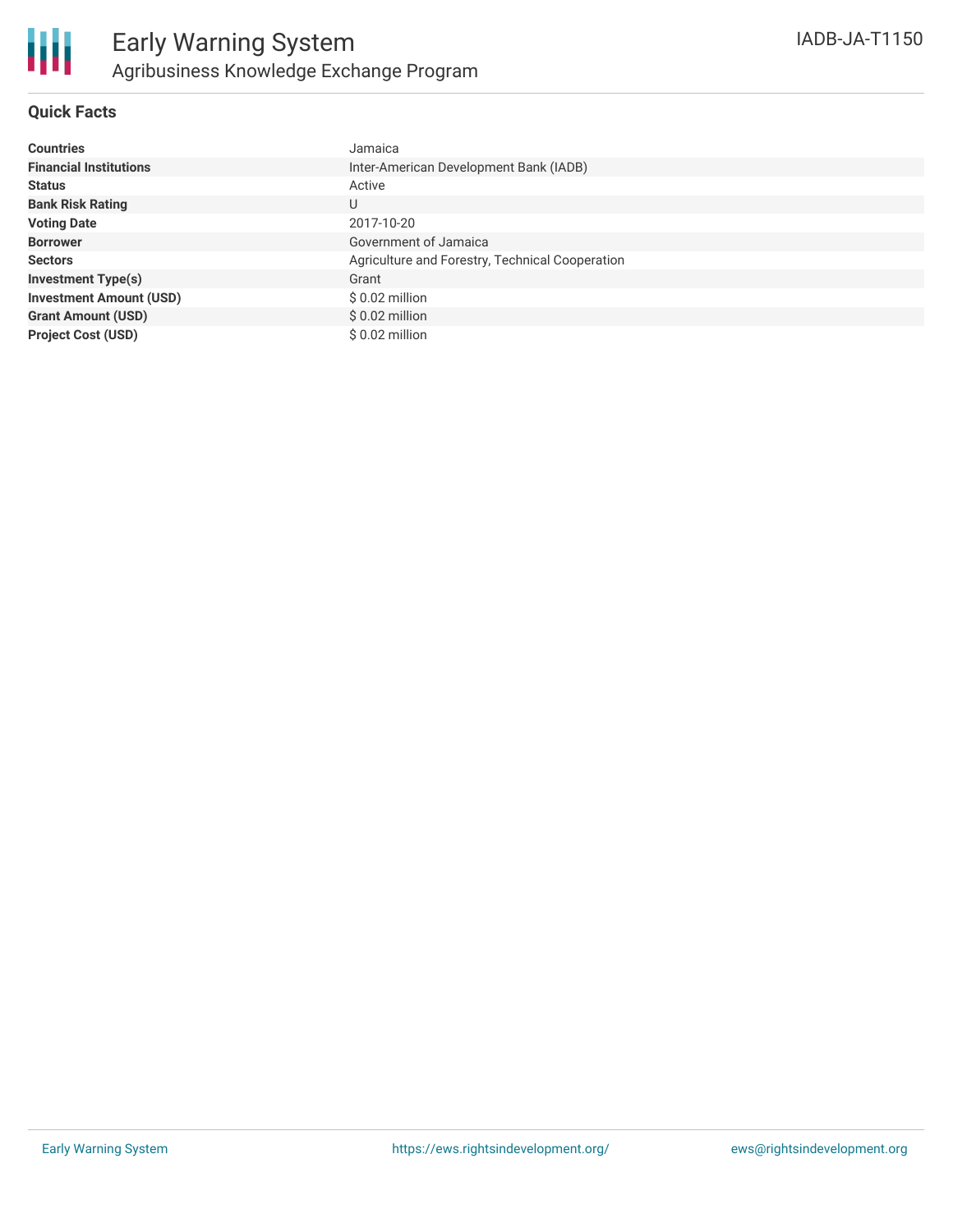

#### **Quick Facts**

| <b>Countries</b>               | Jamaica                                         |
|--------------------------------|-------------------------------------------------|
| <b>Financial Institutions</b>  | Inter-American Development Bank (IADB)          |
| <b>Status</b>                  | Active                                          |
| <b>Bank Risk Rating</b>        | U                                               |
| <b>Voting Date</b>             | 2017-10-20                                      |
| <b>Borrower</b>                | Government of Jamaica                           |
| <b>Sectors</b>                 | Agriculture and Forestry, Technical Cooperation |
| <b>Investment Type(s)</b>      | Grant                                           |
| <b>Investment Amount (USD)</b> | $$0.02$ million                                 |
| <b>Grant Amount (USD)</b>      | $$0.02$ million                                 |
| <b>Project Cost (USD)</b>      | \$0.02 million                                  |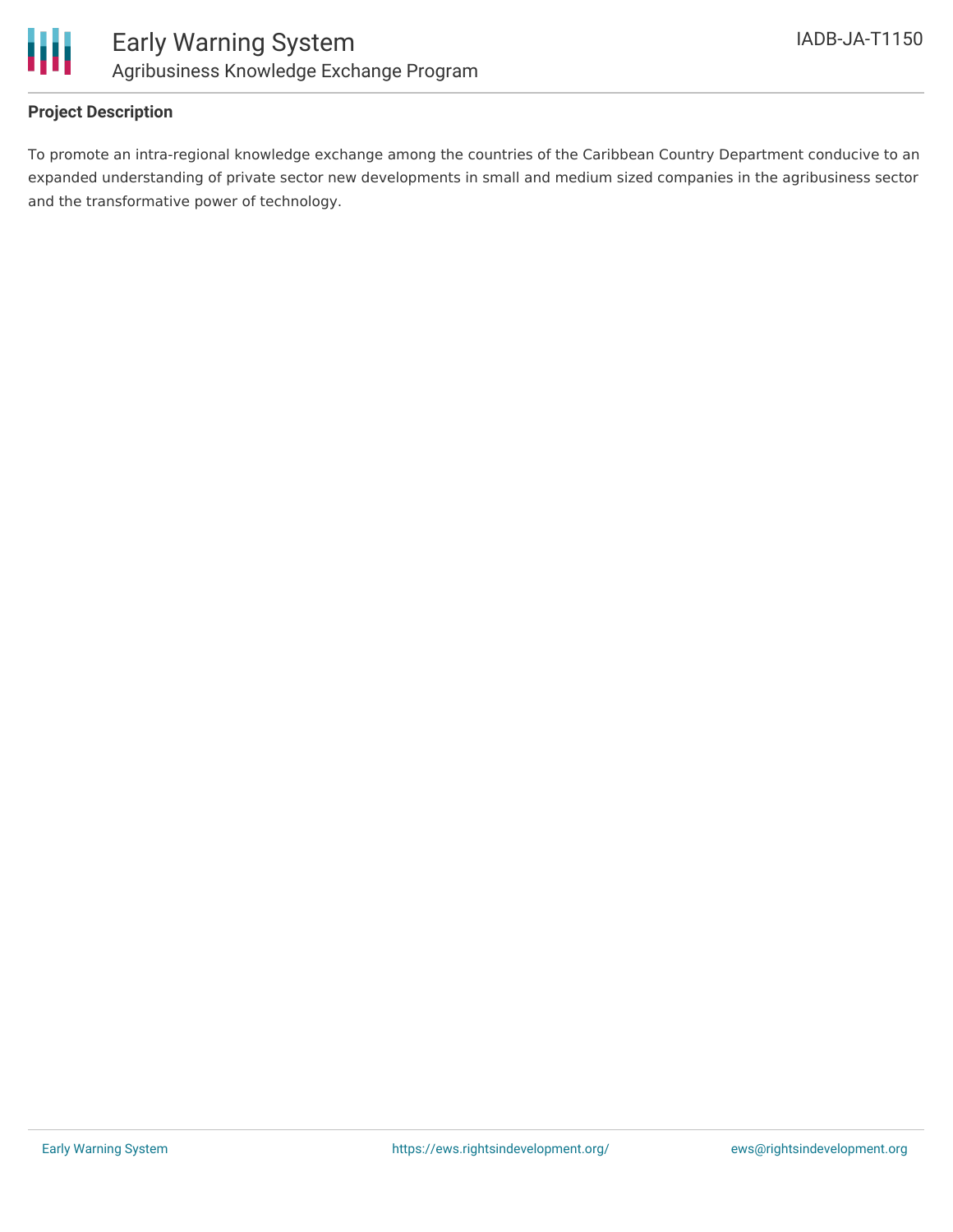

#### **Project Description**

To promote an intra-regional knowledge exchange among the countries of the Caribbean Country Department conducive to an expanded understanding of private sector new developments in small and medium sized companies in the agribusiness sector and the transformative power of technology.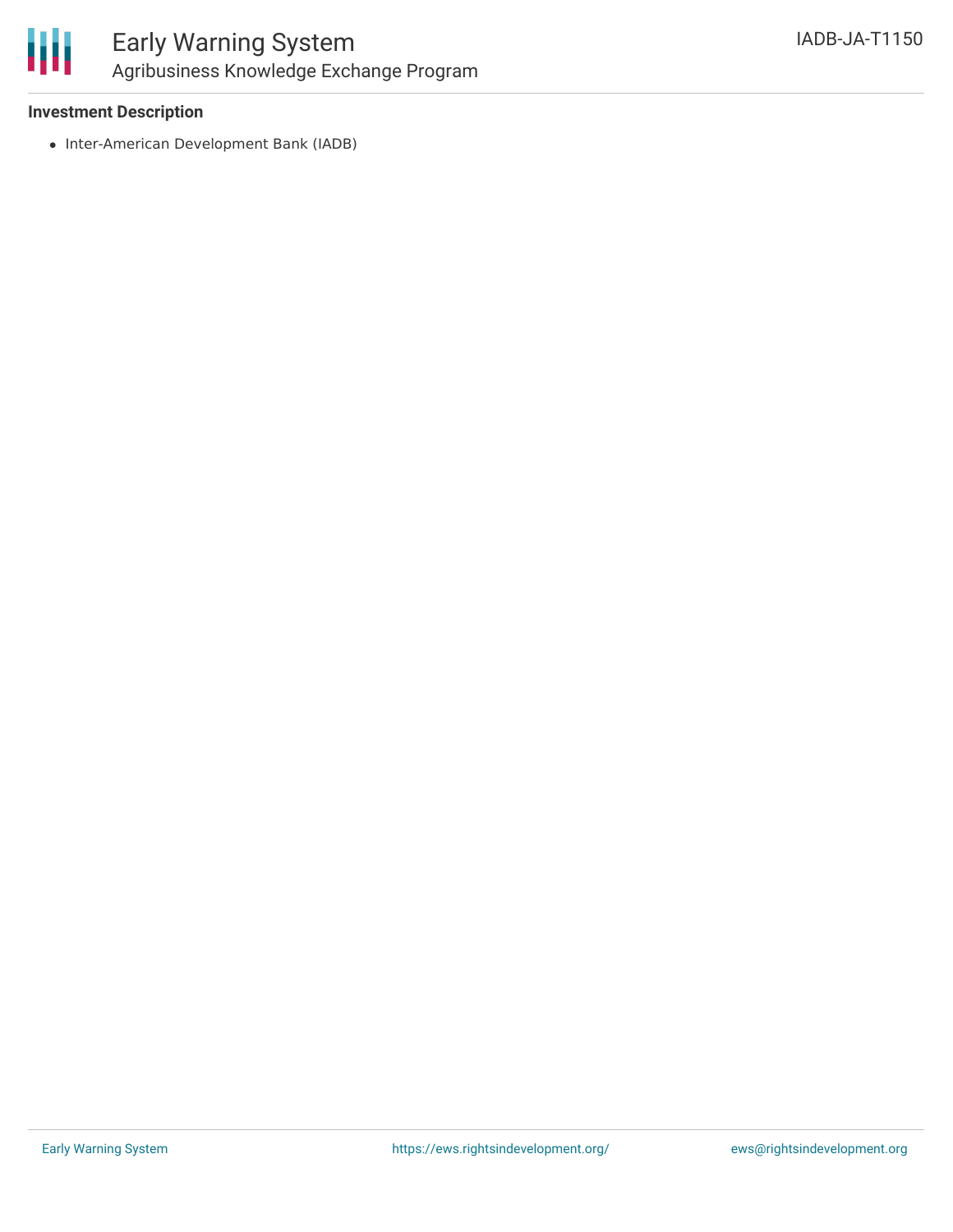

### Early Warning System Agribusiness Knowledge Exchange Program

#### **Investment Description**

• Inter-American Development Bank (IADB)